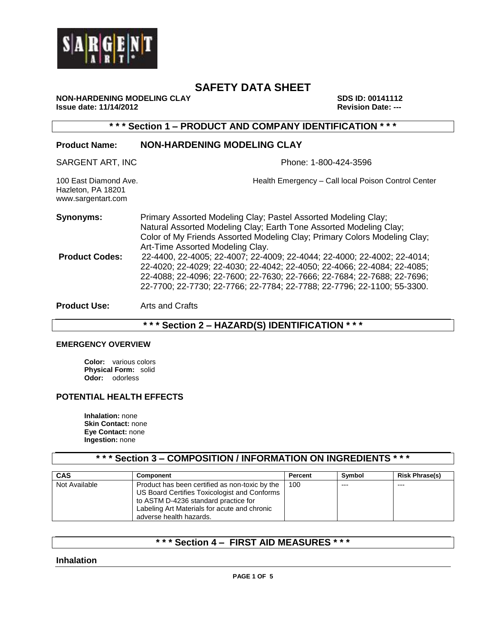

**NON-HARDENING MODELING CLAY SDS ID: 00141112 Issue date: 11/14/2012 Revision Date: ---**

**\* \* \* Section 1 – PRODUCT AND COMPANY IDENTIFICATION \* \* \***

# **Product Name: NON-HARDENING MODELING CLAY** SARGENT ART, INC **Phone: 1-800-424-3596** 100 East Diamond Ave. Health Emergency – Call local Poison Control Center Hazleton, PA 18201 www.sargentart.com **Synonyms:** Primary Assorted Modeling Clay; Pastel Assorted Modeling Clay; Natural Assorted Modeling Clay; Earth Tone Assorted Modeling Clay; Color of My Friends Assorted Modeling Clay; Primary Colors Modeling Clay; Art-Time Assorted Modeling Clay. **Product Codes:** 22-4400, 22-4005; 22-4007; 22-4009; 22-4044; 22-4000; 22-4002; 22-4014; 22-4020; 22-4029; 22-4030; 22-4042; 22-4050; 22-4066; 22-4084; 22-4085; 22-4088; 22-4096; 22-7600; 22-7630; 22-7666; 22-7684; 22-7688; 22-7696; 22-7700; 22-7730; 22-7766; 22-7784; 22-7788; 22-7796; 22-1100; 55-3300. **Product Use:** Arts and Crafts

## **\* \* \* Section 2 – HAZARD(S) IDENTIFICATION \* \* \***

#### **EMERGENCY OVERVIEW**

**Color:** various colors **Physical Form:** solid **Odor:** odorless

### **POTENTIAL HEALTH EFFECTS**

**Inhalation:** none **Skin Contact:** none **Eye Contact:** none **Ingestion:** none

## **\* \* \* Section 3 – COMPOSITION / INFORMATION ON INGREDIENTS \* \* \***

| <b>CAS</b>    | <b>Component</b>                                                                                                                                                                       | Percent | Symbol | <b>Risk Phrase(s)</b> |
|---------------|----------------------------------------------------------------------------------------------------------------------------------------------------------------------------------------|---------|--------|-----------------------|
| Not Available | Product has been certified as non-toxic by the<br>US Board Certifies Toxicologist and Conforms<br>to ASTM D-4236 standard practice for<br>Labeling Art Materials for acute and chronic | 100     | $--$   | $- - -$               |
|               | adverse health hazards.                                                                                                                                                                |         |        |                       |

## **\* \* \* Section 4 – FIRST AID MEASURES \* \* \***

**Inhalation**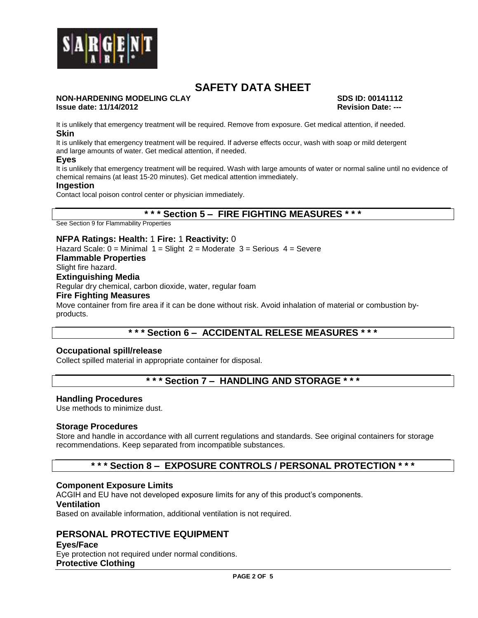

#### **NON-HARDENING MODELING CLAY SDS ID: 00141112 Issue date: 11/14/2012 Revision Date: ---**

It is unlikely that emergency treatment will be required. Remove from exposure. Get medical attention, if needed. **Skin**

It is unlikely that emergency treatment will be required. If adverse effects occur, wash with soap or mild detergent and large amounts of water. Get medical attention, if needed.

#### **Eyes**

It is unlikely that emergency treatment will be required. Wash with large amounts of water or normal saline until no evidence of chemical remains (at least 15-20 minutes). Get medical attention immediately.

#### **Ingestion**

Contact local poison control center or physician immediately.

#### **\* \* \* Section 5 – FIRE FIGHTING MEASURES \* \* \***

See Section 9 for Flammability Properties

#### **NFPA Ratings: Health:** 1 **Fire:** 1 **Reactivity:** 0

Hazard Scale:  $0 =$  Minimal  $1 =$  Slight  $2 =$  Moderate  $3 =$  Serious  $4 =$  Severe **Flammable Properties** Slight fire hazard. **Extinguishing Media** Regular dry chemical, carbon dioxide, water, regular foam **Fire Fighting Measures** Move container from fire area if it can be done without risk. Avoid inhalation of material or combustion byproducts.

## **\* \* \* Section 6 – ACCIDENTAL RELESE MEASURES \* \* \***

#### **Occupational spill/release**

Collect spilled material in appropriate container for disposal.

## **\* \* \* Section 7 – HANDLING AND STORAGE \* \* \***

#### **Handling Procedures**

Use methods to minimize dust.

#### **Storage Procedures**

Store and handle in accordance with all current regulations and standards. See original containers for storage recommendations. Keep separated from incompatible substances.

## **\* \* \* Section 8 – EXPOSURE CONTROLS / PERSONAL PROTECTION \* \* \***

#### **Component Exposure Limits**

ACGIH and EU have not developed exposure limits for any of this product's components.

#### **Ventilation**

Based on available information, additional ventilation is not required.

## **PERSONAL PROTECTIVE EQUIPMENT**

#### **Eyes/Face**

Eye protection not required under normal conditions. **Protective Clothing**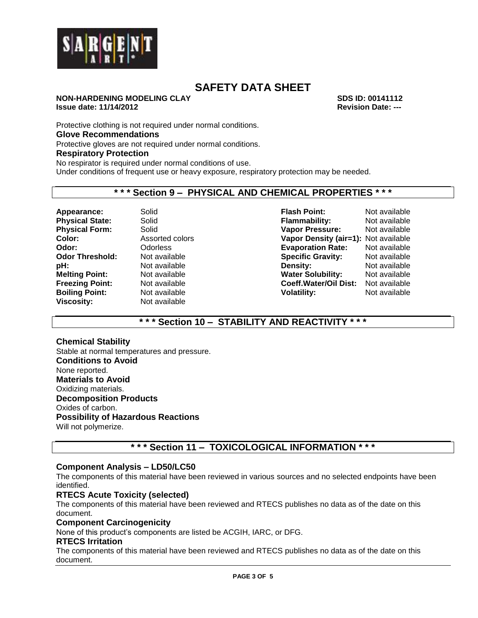

#### **NON-HARDENING MODELING CLAY SDS ID: 00141112 Issue date: 11/14/2012 Revision Date: ---**

Protective clothing is not required under normal conditions.

#### **Glove Recommendations**

Protective gloves are not required under normal conditions.

#### **Respiratory Protection**

No respirator is required under normal conditions of use.

Under conditions of frequent use or heavy exposure, respiratory protection may be needed.

#### **\* \* \* Section 9 – PHYSICAL AND CHEMICAL PROPERTIES \* \* \***

**Viscosity:** Not available

**Appearance:** Solid **Flash Point:** Not available **Physical State:** Solid **Flammability:** Not available **Physical Form:** Solid **Vapor Pressure:** Not available **Color:** Assorted colors **Vapor Density (air=1):** Not available **Odor:** Odorless **Evaporation Rate:** Not available **Odor Threshold:** Not available **Specific Gravity:** Not available **pH:** Not available **Density:** Not available **Density:** Not available **Melting Point:** Not available **Water Solubility:** Not available **Freezing Point:** Not available **Freezing Point:** Not available **Freezing Point:** Not available **Coeff.Water/Oil Dist: Boiling Point:** Not available **Volatility:** Not available

## **\* \* \* Section 10 – STABILITY AND REACTIVITY \* \* \***

#### **Chemical Stability**

Stable at normal temperatures and pressure. **Conditions to Avoid** None reported. **Materials to Avoid** Oxidizing materials. **Decomposition Products** Oxides of carbon. **Possibility of Hazardous Reactions** Will not polymerize.

## **\* \* \* Section 11 – TOXICOLOGICAL INFORMATION \* \* \***

#### **Component Analysis – LD50/LC50**

The components of this material have been reviewed in various sources and no selected endpoints have been identified.

#### **RTECS Acute Toxicity (selected)**

The components of this material have been reviewed and RTECS publishes no data as of the date on this document.

#### **Component Carcinogenicity**

None of this product's components are listed be ACGIH, IARC, or DFG.

#### **RTECS Irritation**

The components of this material have been reviewed and RTECS publishes no data as of the date on this document.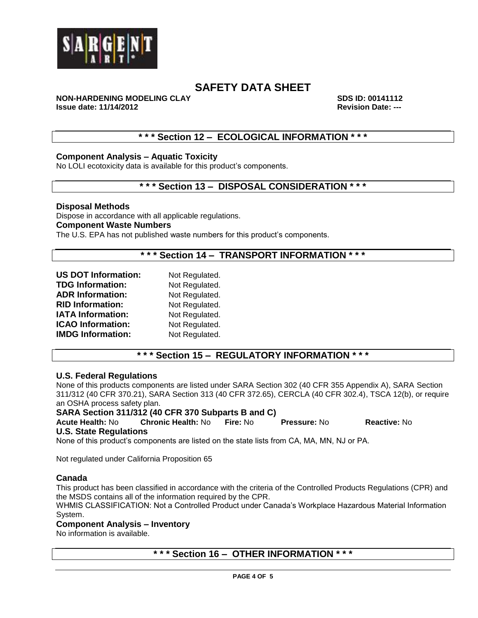

**NON-HARDENING MODELING CLAY SDS ID: 00141112 Issue date: 11/14/2012 Revision Date: ---**

## **\* \* \* Section 12 – ECOLOGICAL INFORMATION \* \* \***

#### **Component Analysis – Aquatic Toxicity**

No LOLI ecotoxicity data is available for this product's components.

## **\* \* \* Section 13 – DISPOSAL CONSIDERATION \* \* \***

**Disposal Methods** Dispose in accordance with all applicable regulations. **Component Waste Numbers** The U.S. EPA has not published waste numbers for this product's components.

**\* \* \* Section 14 – TRANSPORT INFORMATION \* \* \***

| <b>US DOT Information:</b> | Not Regulated. |
|----------------------------|----------------|
| <b>TDG Information:</b>    | Not Regulated. |
| <b>ADR Information:</b>    | Not Regulated. |
| <b>RID Information:</b>    | Not Regulated. |
| <b>IATA Information:</b>   | Not Regulated. |
| <b>ICAO Information:</b>   | Not Regulated. |
| <b>IMDG Information:</b>   | Not Regulated. |

## **\* \* \* Section 15 – REGULATORY INFORMATION \* \* \***

#### **U.S. Federal Regulations**

None of this products components are listed under SARA Section 302 (40 CFR 355 Appendix A), SARA Section 311/312 (40 CFR 370.21), SARA Section 313 (40 CFR 372.65), CERCLA (40 CFR 302.4), TSCA 12(b), or require an OSHA process safety plan.

# **SARA Section 311/312 (40 CFR 370 Subparts B and C)**

**Acute Health:** No **Chronic Health:** No **Fire:** No **Pressure:** No **Reactive:** No **U.S. State Regulations**

None of this product's components are listed on the state lists from CA, MA, MN, NJ or PA.

Not regulated under California Proposition 65

#### **Canada**

This product has been classified in accordance with the criteria of the Controlled Products Regulations (CPR) and the MSDS contains all of the information required by the CPR.

WHMIS CLASSIFICATION: Not a Controlled Product under Canada's Workplace Hazardous Material Information System.

#### **Component Analysis – Inventory**

No information is available.

## **\* \* \* Section 16 – OTHER INFORMATION \* \* \***